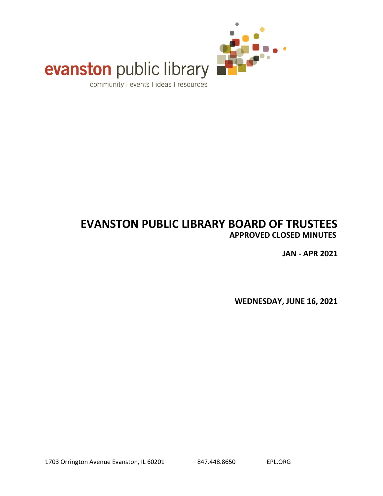

# evanston public library

community I events I ideas I resources

# **EVANSTON PUBLIC LIBRARY BOARD OF TRUSTEES APPROVED CLOSED MINUTES**

**JAN - APR 2021**

**WEDNESDAY, JUNE 16, 2021**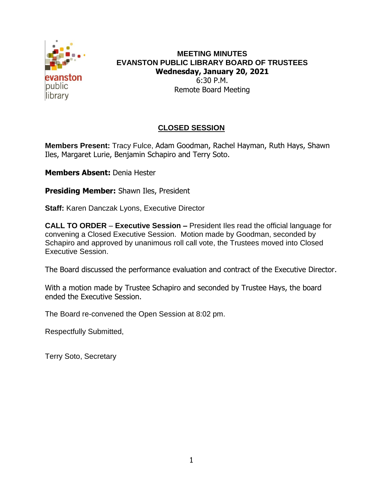

#### **MEETING MINUTES EVANSTON PUBLIC LIBRARY BOARD OF TRUSTEES Wednesday, January 20, 2021** 6:30 P.M. Remote Board Meeting

## **CLOSED SESSION**

**Members Present:** Tracy Fulce, Adam Goodman, Rachel Hayman, Ruth Hays, Shawn Iles, Margaret Lurie, Benjamin Schapiro and Terry Soto.

**Members Absent:** Denia Hester

**Presiding Member:** Shawn Iles, President

**Staff:** Karen Danczak Lyons, Executive Director

**CALL TO ORDER** – **Executive Session –** President Iles read the official language for convening a Closed Executive Session. Motion made by Goodman, seconded by Schapiro and approved by unanimous roll call vote, the Trustees moved into Closed Executive Session.

The Board discussed the performance evaluation and contract of the Executive Director.

With a motion made by Trustee Schapiro and seconded by Trustee Hays, the board ended the Executive Session.

The Board re-convened the Open Session at 8:02 pm.

Respectfully Submitted,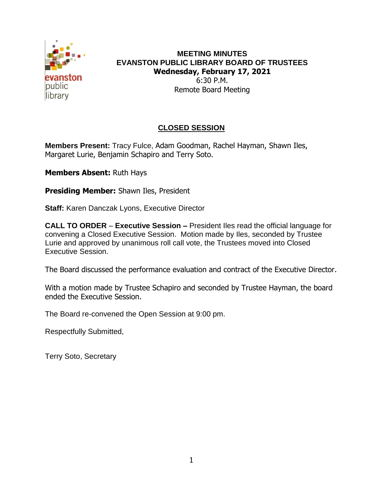

#### **MEETING MINUTES EVANSTON PUBLIC LIBRARY BOARD OF TRUSTEES Wednesday, February 17, 2021** 6:30 P.M. Remote Board Meeting

## **CLOSED SESSION**

**Members Present:** Tracy Fulce, Adam Goodman, Rachel Hayman, Shawn Iles, Margaret Lurie, Benjamin Schapiro and Terry Soto.

**Members Absent:** Ruth Hays

**Presiding Member:** Shawn Iles, President

**Staff:** Karen Danczak Lyons, Executive Director

**CALL TO ORDER** – **Executive Session –** President Iles read the official language for convening a Closed Executive Session. Motion made by Iles, seconded by Trustee Lurie and approved by unanimous roll call vote, the Trustees moved into Closed Executive Session.

The Board discussed the performance evaluation and contract of the Executive Director.

With a motion made by Trustee Schapiro and seconded by Trustee Hayman, the board ended the Executive Session.

The Board re-convened the Open Session at 9:00 pm.

Respectfully Submitted,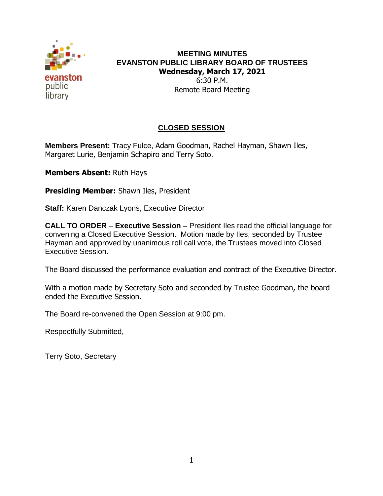

#### **MEETING MINUTES EVANSTON PUBLIC LIBRARY BOARD OF TRUSTEES Wednesday, March 17, 2021** 6:30 P.M. Remote Board Meeting

# **CLOSED SESSION**

**Members Present:** Tracy Fulce, Adam Goodman, Rachel Hayman, Shawn Iles, Margaret Lurie, Benjamin Schapiro and Terry Soto.

**Members Absent:** Ruth Hays

**Presiding Member:** Shawn Iles, President

**Staff:** Karen Danczak Lyons, Executive Director

**CALL TO ORDER** – **Executive Session –** President Iles read the official language for convening a Closed Executive Session. Motion made by Iles, seconded by Trustee Hayman and approved by unanimous roll call vote, the Trustees moved into Closed Executive Session.

The Board discussed the performance evaluation and contract of the Executive Director.

With a motion made by Secretary Soto and seconded by Trustee Goodman, the board ended the Executive Session.

The Board re-convened the Open Session at 9:00 pm.

Respectfully Submitted,